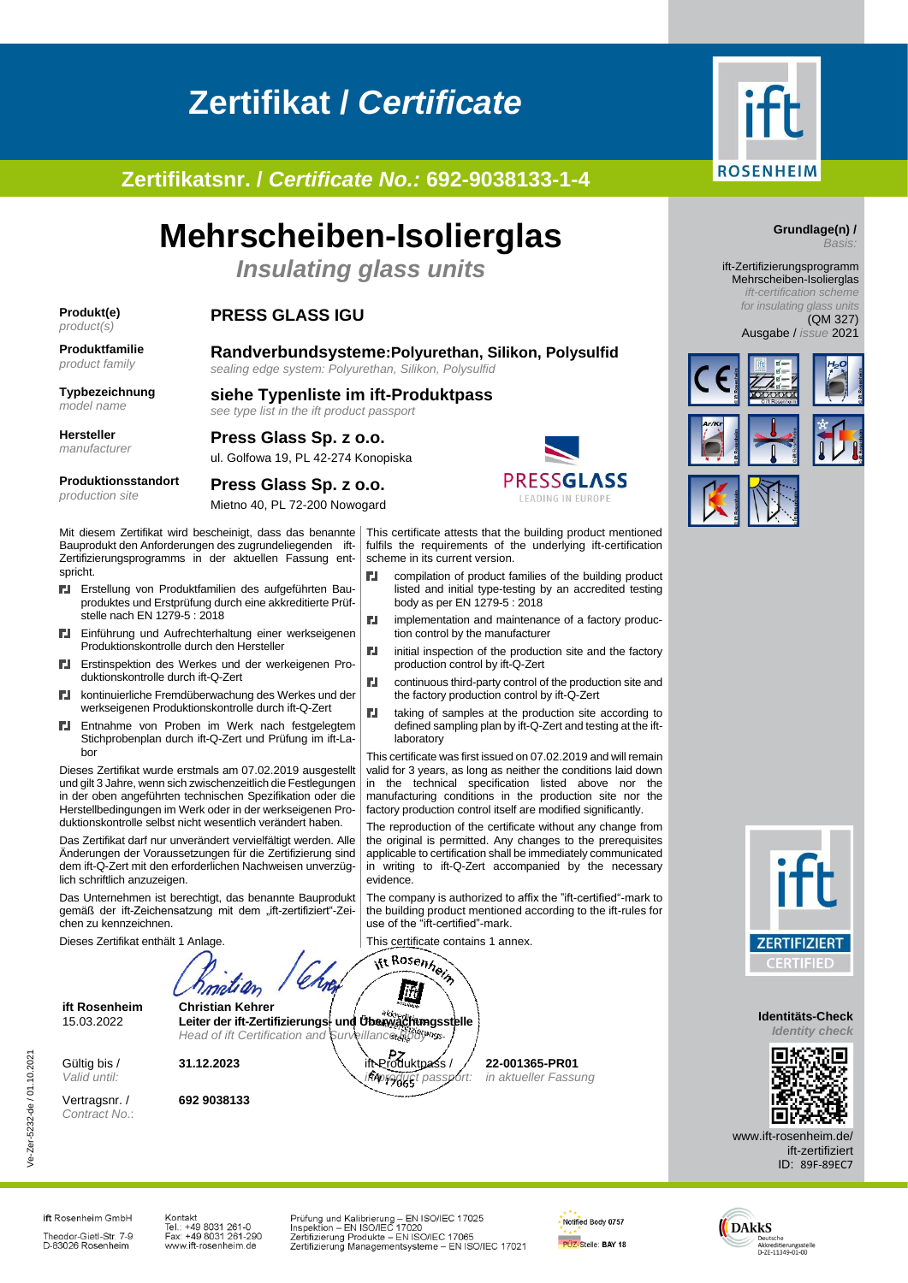# **Zertifikat /** *Certificate*

**Zertifikatsnr. /** *Certificate No.:* **692-9038133-1-4**

## **Mehrscheiben-Isolierglas**

*Insulating glass units*

**siehe Typenliste im ift-Produktpass**

### **Produkt(e)**

### *product(s)*

## **PRESS GLASS IGU**

**Produktfamilie** *product family*

**Randverbundsysteme:Polyurethan, Silikon, Polysulfid** *sealing edge system: Polyurethan, Silikon, Polysulfid*

#### **Typbezeichnung** *model name*

**Hersteller** *manufacturer*

### **Press Glass Sp. z o.o.** ul. Golfowa 19, PL 42-274 Konopiska

**Press Glass Sp. z o.o.**

*see type list in the ift product passport*



Mietno 40, PL 72-200 Nowogard

Mit diesem Zertifikat wird bescheinigt, dass das benannte Bauprodukt den Anforderungen des zugrundeliegenden ift-Zertifizierungsprogramms in der aktuellen Fassung entspricht. ГJ,

- Erstellung von Produktfamilien des aufgeführten Bauproduktes und Erstprüfung durch eine akkreditierte Prüfstelle nach EN 1279-5 : 2018
- ГJ, Einführung und Aufrechterhaltung einer werkseigenen Produktionskontrolle durch den Hersteller
- Erstinspektion des Werkes und der werkeigenen Pro-**CLU** duktionskontrolle durch ift-Q-Zert
- kontinuierliche Fremdüberwachung des Werkes und der ГJ, werkseigenen Produktionskontrolle durch ift-Q-Zert
- Entnahme von Proben im Werk nach festgelegtem Stichprobenplan durch ift-Q-Zert und Prüfung im ift-Labor

Dieses Zertifikat wurde erstmals am 07.02.2019 ausgestellt und gilt 3 Jahre, wenn sich zwischenzeitlich die Festlegungen in der oben angeführten technischen Spezifikation oder die Herstellbedingungen im Werk oder in der werkseigenen Produktionskontrolle selbst nicht wesentlich verändert haben.

Das Zertifikat darf nur unverändert vervielfältigt werden. Alle Änderungen der Voraussetzungen für die Zertifizierung sind dem ift-Q-Zert mit den erforderlichen Nachweisen unverzüglich schriftlich anzuzeigen.

Das Unternehmen ist berechtigt, das benannte Bauprodukt gemäß der ift-Zeichensatzung mit dem "ift-zertifiziert"-Zeichen zu kennzeichnen.

Dieses Zertifikat enthält 1 Anlage.



*Head of ift Certification and Surveillance Body*

**31.12.2023 it-Pz** *i*t-Produktpass /

**ift Rosenheim Christian Kehrer** 15.03.2022 **Leiter der ift-Zertifizierungs- und Überwachungsstelle**

Gültig bis / *Valid until:*

Vertragsnr. / *Contract No*.: **692 9038133**



This certificate attests that the building product mentioned fulfils the requirements of the underlying ift-certification scheme in its current version.

- compilation of product families of the building product listed and initial type-testing by an accredited testing body as per EN 1279-5 : 2018
- ГJ, implementation and maintenance of a factory production control by the manufacturer
- ГJ, initial inspection of the production site and the factory production control by ift-Q-Zert
- **N** continuous third-party control of the production site and the factory production control by ift-Q-Zert
- **FJ** taking of samples at the production site according to defined sampling plan by ift-Q-Zert and testing at the iftlaboratory

This certificate was first issued on 07.02.2019 and will remain valid for 3 years, as long as neither the conditions laid down in the technical specification listed above nor the manufacturing conditions in the production site nor the factory production control itself are modified significantly.

The reproduction of the certificate without any change from the original is permitted. Any changes to the prerequisites applicable to certification shall be immediately communicated in writing to ift-Q-Zert accompanied by the necessary evidence

The company is authorized to affix the "ift-certified"-mark to the building product mentioned according to the ift-rules for use of the "ift-certified"-mark.

> **22-001365-PR01** *in aktueller Fassung*

This certificate contains 1 annex.<br> **ift Rosenheim** 





ift-Zertifizierungsprogramm Mehrscheiben-Isolierglas *ift-certification scheme*

*for insulating glass units* (QM 327)

Ausgabe / *issue* 2021





**Identitäts-Check** *Identity check*



www.ift-rosenheim.de/ ift-zertifiziert ID: 89F-89EC7

ift Rosenheim GmbH Theodor-Gietl-Str. 7-9<br>D-83026 Rosenheim Kontakt หมานสน<br>Tel.: +49 8031 261-0<br>Fax: +49 8031 261-290 www.ift-rosenheim.de

Prüfung und Kalibrierung – EN ISO/IEC 17025<br>Inspektion – EN ISO/IEC 17020<br>Zertifizierung Produkte – EN ISO/IEC 17065<br>Zertifizierung Managementsysteme – EN ISO/IEC 17021

*ift-product passport:*

İft  $a^{\mu}$